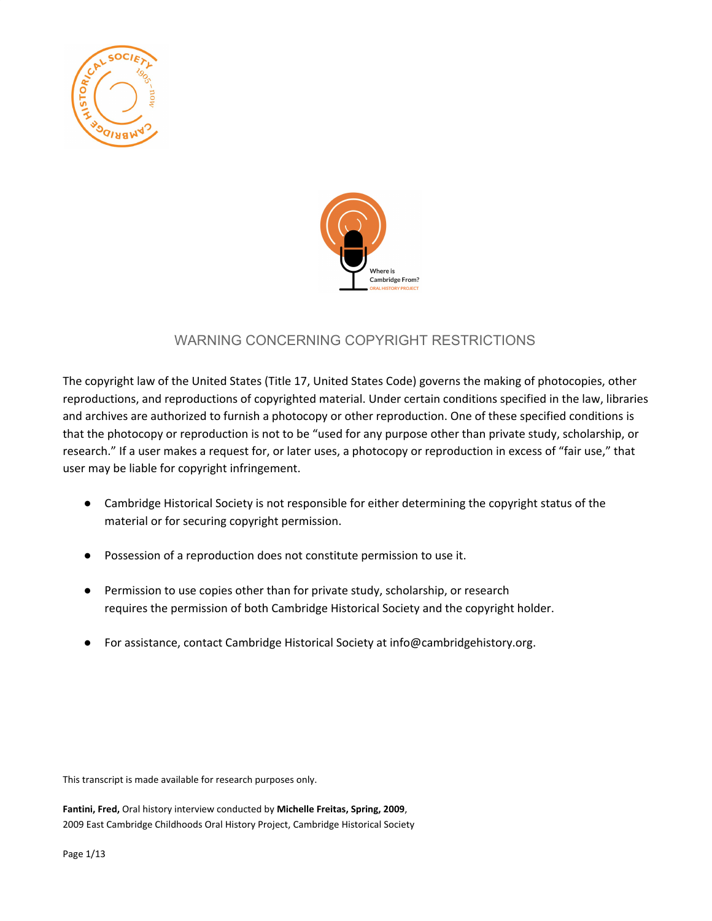



## WARNING CONCERNING COPYRIGHT RESTRICTIONS

The copyright law of the United States (Title 17, United States Code) governs the making of photocopies, other reproductions, and reproductions of copyrighted material. Under certain conditions specified in the law, libraries and archives are authorized to furnish a photocopy or other reproduction. One of these specified conditions is that the photocopy or reproduction is not to be "used for any purpose other than private study, scholarship, or research." If a user makes a request for, or later uses, a photocopy or reproduction in excess of "fair use," that user may be liable for copyright infringement.

- Cambridge Historical Society is not responsible for either determining the copyright status of the material or for securing copyright permission.
- Possession of a reproduction does not constitute permission to use it.
- Permission to use copies other than for private study, scholarship, or research requires the permission of both Cambridge Historical Society and the copyright holder.
- For assistance, contact Cambridge Historical Society at info@cambridgehistory.org.

This transcript is made available for research purposes only.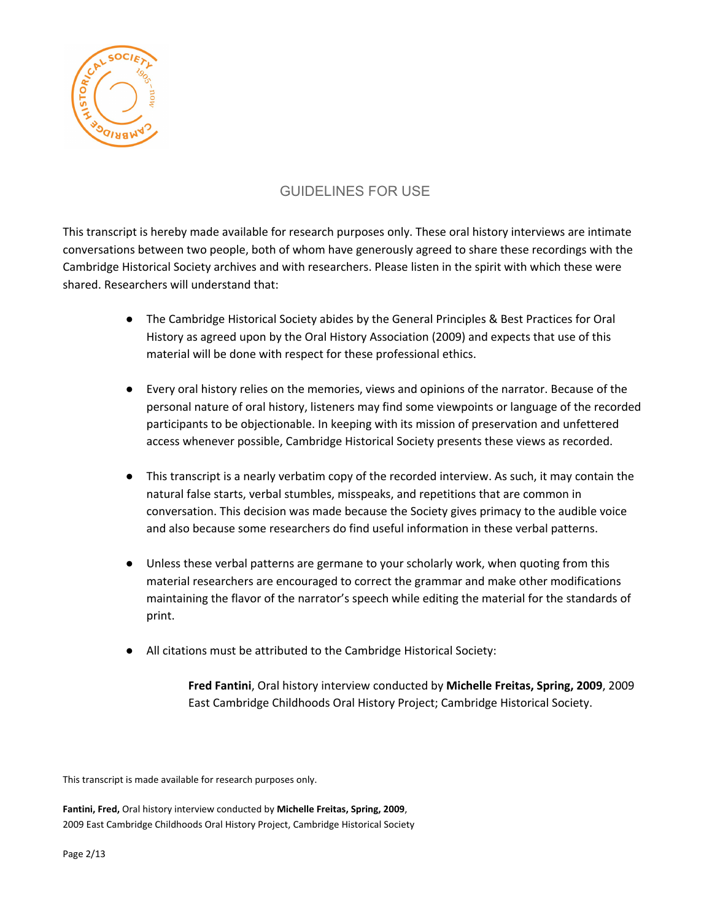

## GUIDELINES FOR USE

This transcript is hereby made available for research purposes only. These oral history interviews are intimate conversations between two people, both of whom have generously agreed to share these recordings with the Cambridge Historical Society archives and with researchers. Please listen in the spirit with which these were shared. Researchers will understand that:

- The Cambridge Historical Society abides by the General Principles & Best Practices for Oral History as agreed upon by the Oral History Association (2009) and expects that use of this material will be done with respect for these professional ethics.
- Every oral history relies on the memories, views and opinions of the narrator. Because of the personal nature of oral history, listeners may find some viewpoints or language of the recorded participants to be objectionable. In keeping with its mission of preservation and unfettered access whenever possible, Cambridge Historical Society presents these views as recorded.
- This transcript is a nearly verbatim copy of the recorded interview. As such, it may contain the natural false starts, verbal stumbles, misspeaks, and repetitions that are common in conversation. This decision was made because the Society gives primacy to the audible voice and also because some researchers do find useful information in these verbal patterns.
- Unless these verbal patterns are germane to your scholarly work, when quoting from this material researchers are encouraged to correct the grammar and make other modifications maintaining the flavor of the narrator's speech while editing the material for the standards of print.
- All citations must be attributed to the Cambridge Historical Society:

**Fred Fantini**, Oral history interview conducted by **Michelle Freitas, Spring, 2009**, 2009 East Cambridge Childhoods Oral History Project; Cambridge Historical Society.

This transcript is made available for research purposes only.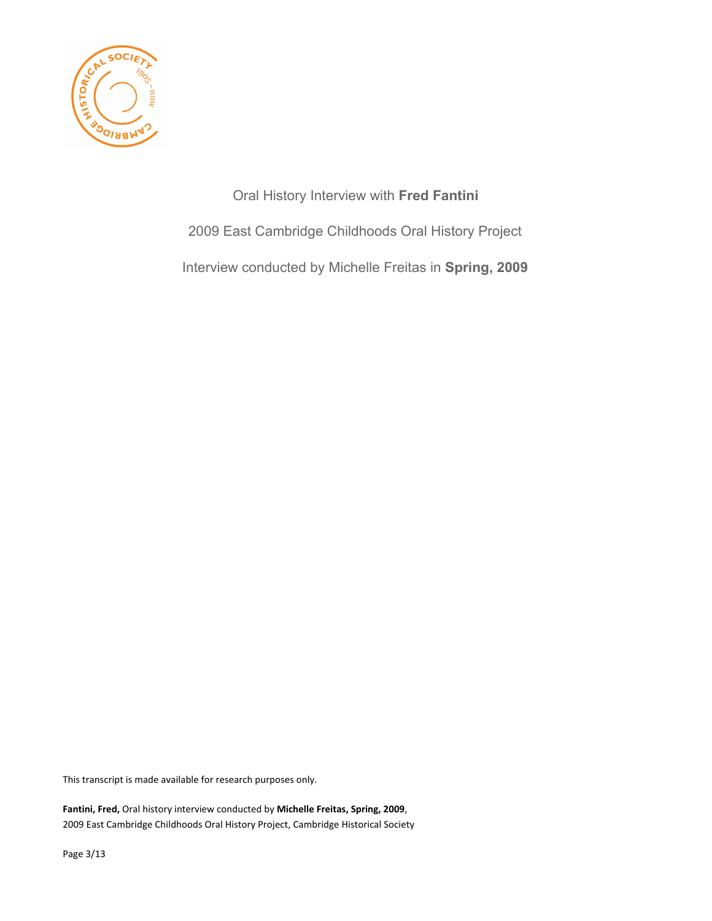

Oral History Interview with **Fred Fantini** 2009 East Cambridge Childhoods Oral History Project Interview conducted by Michelle Freitas in **Spring, 2009**

This transcript is made available for research purposes only.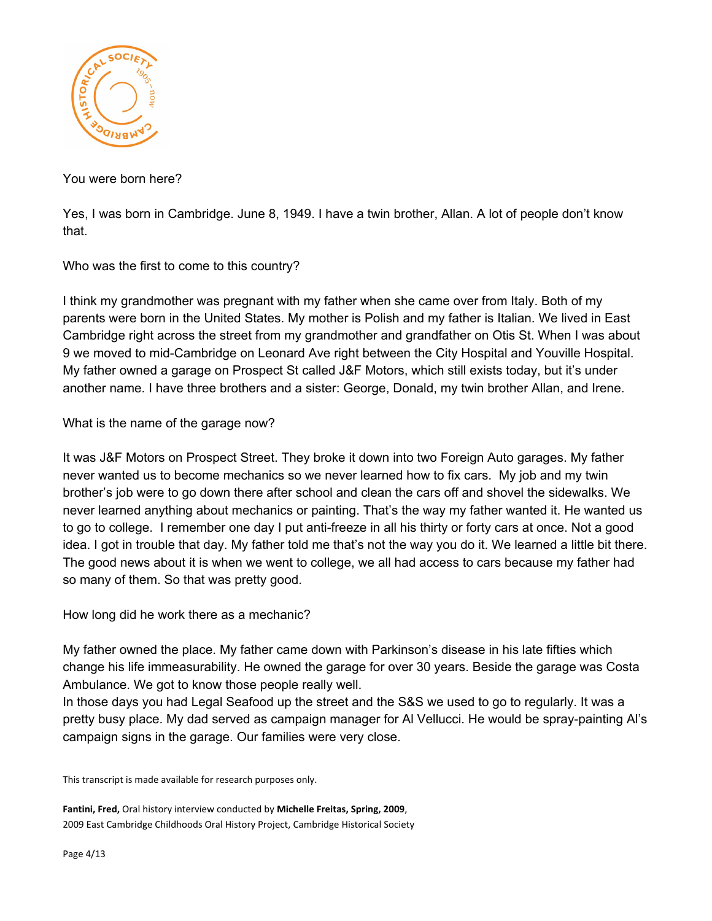

You were born here?

Yes, I was born in Cambridge. June 8, 1949. I have a twin brother, Allan. A lot of people don't know that.

Who was the first to come to this country?

I think my grandmother was pregnant with my father when she came over from Italy. Both of my parents were born in the United States. My mother is Polish and my father is Italian. We lived in East Cambridge right across the street from my grandmother and grandfather on Otis St. When I was about 9 we moved to mid-Cambridge on Leonard Ave right between the City Hospital and Youville Hospital. My father owned a garage on Prospect St called J&F Motors, which still exists today, but it's under another name. I have three brothers and a sister: George, Donald, my twin brother Allan, and Irene.

What is the name of the garage now?

It was J&F Motors on Prospect Street. They broke it down into two Foreign Auto garages. My father never wanted us to become mechanics so we never learned how to fix cars. My job and my twin brother's job were to go down there after school and clean the cars off and shovel the sidewalks. We never learned anything about mechanics or painting. That's the way my father wanted it. He wanted us to go to college. I remember one day I put anti-freeze in all his thirty or forty cars at once. Not a good idea. I got in trouble that day. My father told me that's not the way you do it. We learned a little bit there. The good news about it is when we went to college, we all had access to cars because my father had so many of them. So that was pretty good.

How long did he work there as a mechanic?

My father owned the place. My father came down with Parkinson's disease in his late fifties which change his life immeasurability. He owned the garage for over 30 years. Beside the garage was Costa Ambulance. We got to know those people really well.

In those days you had Legal Seafood up the street and the S&S we used to go to regularly. It was a pretty busy place. My dad served as campaign manager for Al Vellucci. He would be spray-painting Al's campaign signs in the garage. Our families were very close.

This transcript is made available for research purposes only.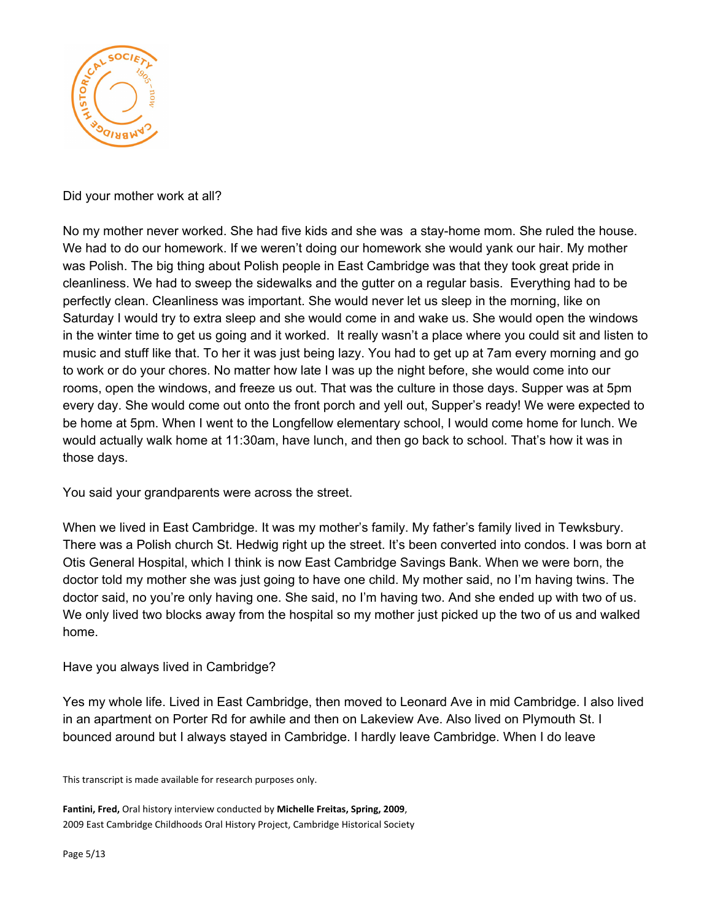

Did your mother work at all?

No my mother never worked. She had five kids and she was a stay-home mom. She ruled the house. We had to do our homework. If we weren't doing our homework she would yank our hair. My mother was Polish. The big thing about Polish people in East Cambridge was that they took great pride in cleanliness. We had to sweep the sidewalks and the gutter on a regular basis. Everything had to be perfectly clean. Cleanliness was important. She would never let us sleep in the morning, like on Saturday I would try to extra sleep and she would come in and wake us. She would open the windows in the winter time to get us going and it worked. It really wasn't a place where you could sit and listen to music and stuff like that. To her it was just being lazy. You had to get up at 7am every morning and go to work or do your chores. No matter how late I was up the night before, she would come into our rooms, open the windows, and freeze us out. That was the culture in those days. Supper was at 5pm every day. She would come out onto the front porch and yell out, Supper's ready! We were expected to be home at 5pm. When I went to the Longfellow elementary school, I would come home for lunch. We would actually walk home at 11:30am, have lunch, and then go back to school. That's how it was in those days.

You said your grandparents were across the street.

When we lived in East Cambridge. It was my mother's family. My father's family lived in Tewksbury. There was a Polish church St. Hedwig right up the street. It's been converted into condos. I was born at Otis General Hospital, which I think is now East Cambridge Savings Bank. When we were born, the doctor told my mother she was just going to have one child. My mother said, no I'm having twins. The doctor said, no you're only having one. She said, no I'm having two. And she ended up with two of us. We only lived two blocks away from the hospital so my mother just picked up the two of us and walked home.

Have you always lived in Cambridge?

Yes my whole life. Lived in East Cambridge, then moved to Leonard Ave in mid Cambridge. I also lived in an apartment on Porter Rd for awhile and then on Lakeview Ave. Also lived on Plymouth St. I bounced around but I always stayed in Cambridge. I hardly leave Cambridge. When I do leave

This transcript is made available for research purposes only.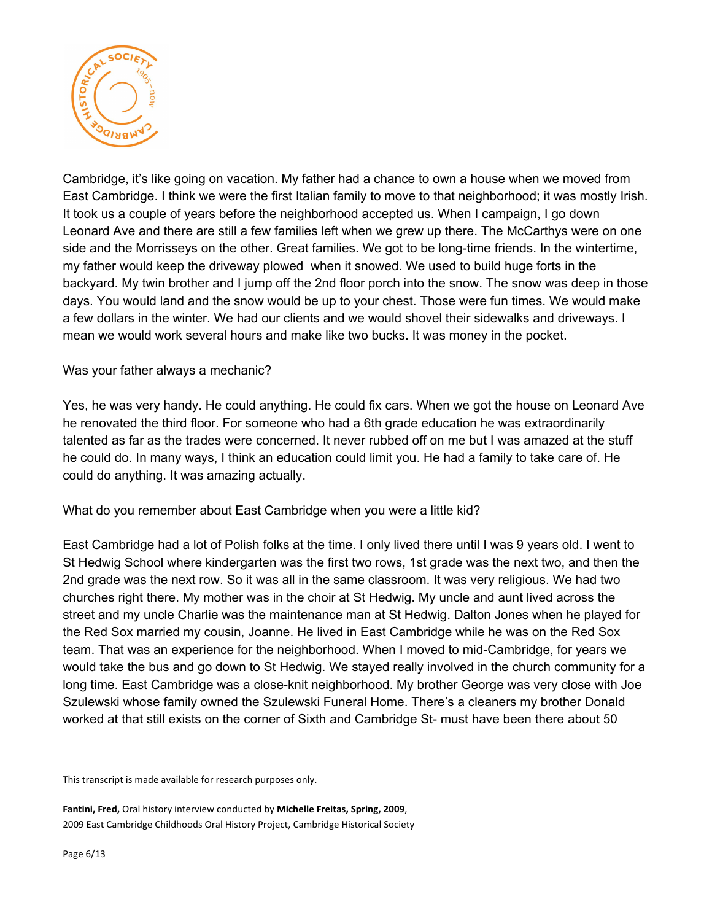

Cambridge, it's like going on vacation. My father had a chance to own a house when we moved from East Cambridge. I think we were the first Italian family to move to that neighborhood; it was mostly Irish. It took us a couple of years before the neighborhood accepted us. When I campaign, I go down Leonard Ave and there are still a few families left when we grew up there. The McCarthys were on one side and the Morrisseys on the other. Great families. We got to be long-time friends. In the wintertime, my father would keep the driveway plowed when it snowed. We used to build huge forts in the backyard. My twin brother and I jump off the 2nd floor porch into the snow. The snow was deep in those days. You would land and the snow would be up to your chest. Those were fun times. We would make a few dollars in the winter. We had our clients and we would shovel their sidewalks and driveways. I mean we would work several hours and make like two bucks. It was money in the pocket.

## Was your father always a mechanic?

Yes, he was very handy. He could anything. He could fix cars. When we got the house on Leonard Ave he renovated the third floor. For someone who had a 6th grade education he was extraordinarily talented as far as the trades were concerned. It never rubbed off on me but I was amazed at the stuff he could do. In many ways, I think an education could limit you. He had a family to take care of. He could do anything. It was amazing actually.

What do you remember about East Cambridge when you were a little kid?

East Cambridge had a lot of Polish folks at the time. I only lived there until I was 9 years old. I went to St Hedwig School where kindergarten was the first two rows, 1st grade was the next two, and then the 2nd grade was the next row. So it was all in the same classroom. It was very religious. We had two churches right there. My mother was in the choir at St Hedwig. My uncle and aunt lived across the street and my uncle Charlie was the maintenance man at St Hedwig. Dalton Jones when he played for the Red Sox married my cousin, Joanne. He lived in East Cambridge while he was on the Red Sox team. That was an experience for the neighborhood. When I moved to mid-Cambridge, for years we would take the bus and go down to St Hedwig. We stayed really involved in the church community for a long time. East Cambridge was a close-knit neighborhood. My brother George was very close with Joe Szulewski whose family owned the Szulewski Funeral Home. There's a cleaners my brother Donald worked at that still exists on the corner of Sixth and Cambridge St- must have been there about 50

This transcript is made available for research purposes only.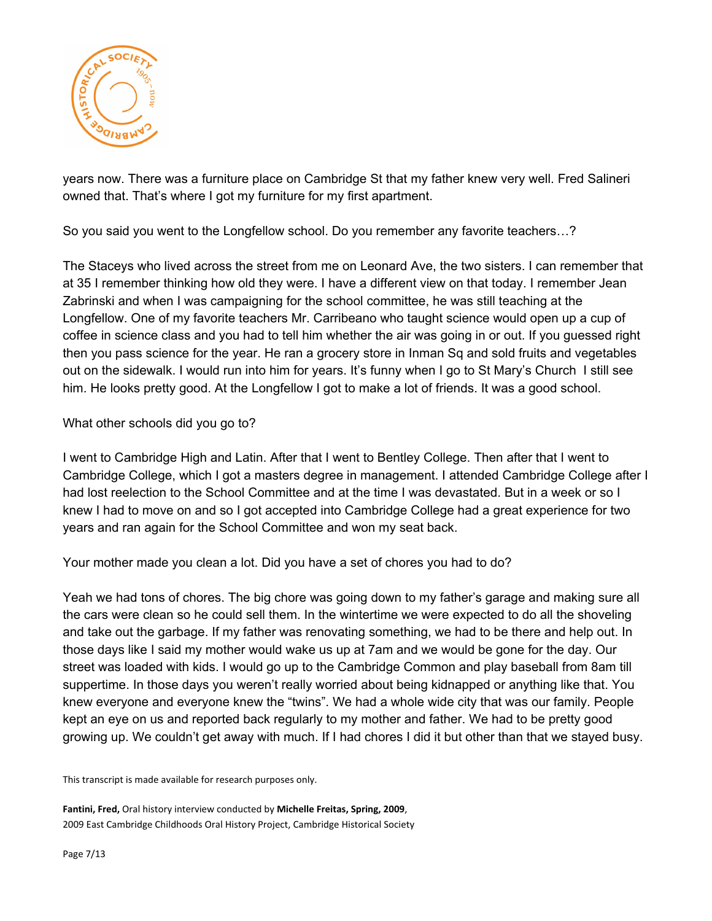

years now. There was a furniture place on Cambridge St that my father knew very well. Fred Salineri owned that. That's where I got my furniture for my first apartment.

So you said you went to the Longfellow school. Do you remember any favorite teachers…?

The Staceys who lived across the street from me on Leonard Ave, the two sisters. I can remember that at 35 I remember thinking how old they were. I have a different view on that today. I remember Jean Zabrinski and when I was campaigning for the school committee, he was still teaching at the Longfellow. One of my favorite teachers Mr. Carribeano who taught science would open up a cup of coffee in science class and you had to tell him whether the air was going in or out. If you guessed right then you pass science for the year. He ran a grocery store in Inman Sq and sold fruits and vegetables out on the sidewalk. I would run into him for years. It's funny when I go to St Mary's Church I still see him. He looks pretty good. At the Longfellow I got to make a lot of friends. It was a good school.

What other schools did you go to?

I went to Cambridge High and Latin. After that I went to Bentley College. Then after that I went to Cambridge College, which I got a masters degree in management. I attended Cambridge College after I had lost reelection to the School Committee and at the time I was devastated. But in a week or so I knew I had to move on and so I got accepted into Cambridge College had a great experience for two years and ran again for the School Committee and won my seat back.

Your mother made you clean a lot. Did you have a set of chores you had to do?

Yeah we had tons of chores. The big chore was going down to my father's garage and making sure all the cars were clean so he could sell them. In the wintertime we were expected to do all the shoveling and take out the garbage. If my father was renovating something, we had to be there and help out. In those days like I said my mother would wake us up at 7am and we would be gone for the day. Our street was loaded with kids. I would go up to the Cambridge Common and play baseball from 8am till suppertime. In those days you weren't really worried about being kidnapped or anything like that. You knew everyone and everyone knew the "twins". We had a whole wide city that was our family. People kept an eye on us and reported back regularly to my mother and father. We had to be pretty good growing up. We couldn't get away with much. If I had chores I did it but other than that we stayed busy.

This transcript is made available for research purposes only.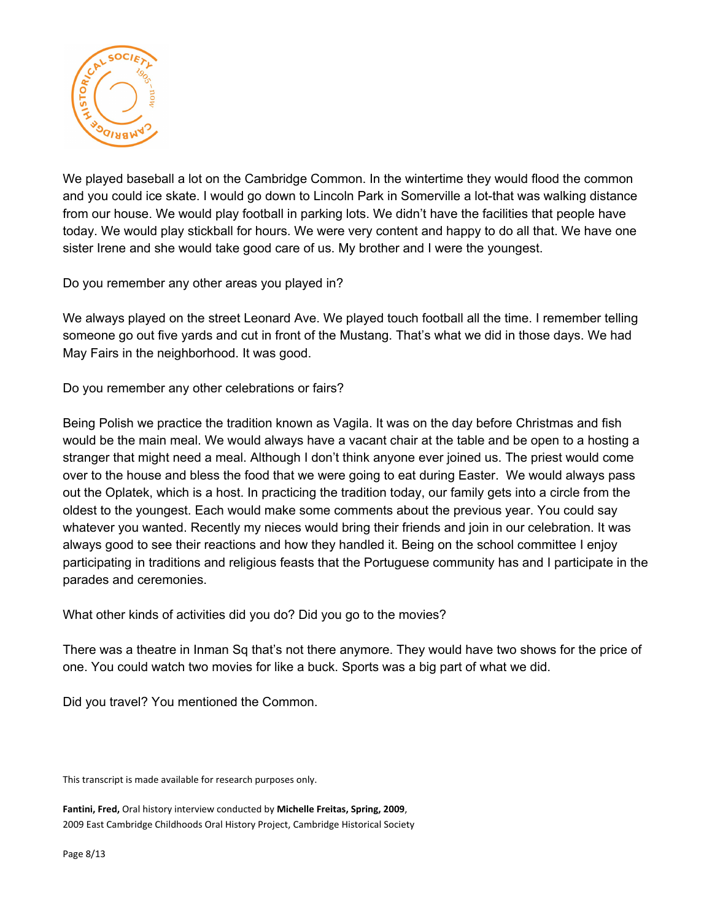

We played baseball a lot on the Cambridge Common. In the wintertime they would flood the common and you could ice skate. I would go down to Lincoln Park in Somerville a lot-that was walking distance from our house. We would play football in parking lots. We didn't have the facilities that people have today. We would play stickball for hours. We were very content and happy to do all that. We have one sister Irene and she would take good care of us. My brother and I were the youngest.

Do you remember any other areas you played in?

We always played on the street Leonard Ave. We played touch football all the time. I remember telling someone go out five yards and cut in front of the Mustang. That's what we did in those days. We had May Fairs in the neighborhood. It was good.

Do you remember any other celebrations or fairs?

Being Polish we practice the tradition known as Vagila. It was on the day before Christmas and fish would be the main meal. We would always have a vacant chair at the table and be open to a hosting a stranger that might need a meal. Although I don't think anyone ever joined us. The priest would come over to the house and bless the food that we were going to eat during Easter. We would always pass out the Oplatek, which is a host. In practicing the tradition today, our family gets into a circle from the oldest to the youngest. Each would make some comments about the previous year. You could say whatever you wanted. Recently my nieces would bring their friends and join in our celebration. It was always good to see their reactions and how they handled it. Being on the school committee I enjoy participating in traditions and religious feasts that the Portuguese community has and I participate in the parades and ceremonies.

What other kinds of activities did you do? Did you go to the movies?

There was a theatre in Inman Sq that's not there anymore. They would have two shows for the price of one. You could watch two movies for like a buck. Sports was a big part of what we did.

Did you travel? You mentioned the Common.

This transcript is made available for research purposes only.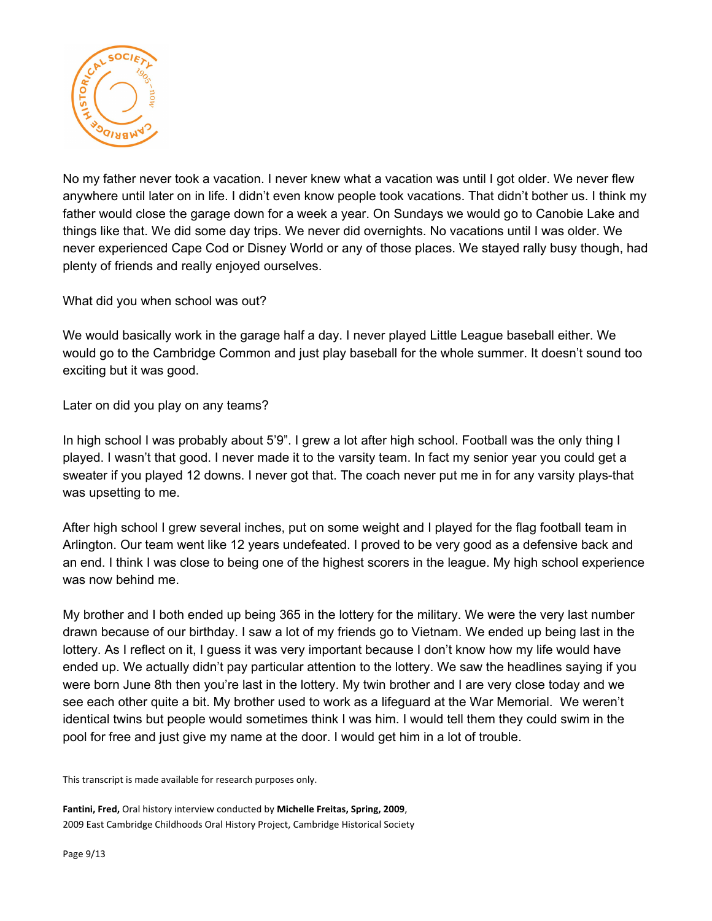

No my father never took a vacation. I never knew what a vacation was until I got older. We never flew anywhere until later on in life. I didn't even know people took vacations. That didn't bother us. I think my father would close the garage down for a week a year. On Sundays we would go to Canobie Lake and things like that. We did some day trips. We never did overnights. No vacations until I was older. We never experienced Cape Cod or Disney World or any of those places. We stayed rally busy though, had plenty of friends and really enjoyed ourselves.

What did you when school was out?

We would basically work in the garage half a day. I never played Little League baseball either. We would go to the Cambridge Common and just play baseball for the whole summer. It doesn't sound too exciting but it was good.

Later on did you play on any teams?

In high school I was probably about 5'9". I grew a lot after high school. Football was the only thing I played. I wasn't that good. I never made it to the varsity team. In fact my senior year you could get a sweater if you played 12 downs. I never got that. The coach never put me in for any varsity plays-that was upsetting to me.

After high school I grew several inches, put on some weight and I played for the flag football team in Arlington. Our team went like 12 years undefeated. I proved to be very good as a defensive back and an end. I think I was close to being one of the highest scorers in the league. My high school experience was now behind me.

My brother and I both ended up being 365 in the lottery for the military. We were the very last number drawn because of our birthday. I saw a lot of my friends go to Vietnam. We ended up being last in the lottery. As I reflect on it, I guess it was very important because I don't know how my life would have ended up. We actually didn't pay particular attention to the lottery. We saw the headlines saying if you were born June 8th then you're last in the lottery. My twin brother and I are very close today and we see each other quite a bit. My brother used to work as a lifeguard at the War Memorial. We weren't identical twins but people would sometimes think I was him. I would tell them they could swim in the pool for free and just give my name at the door. I would get him in a lot of trouble.

This transcript is made available for research purposes only.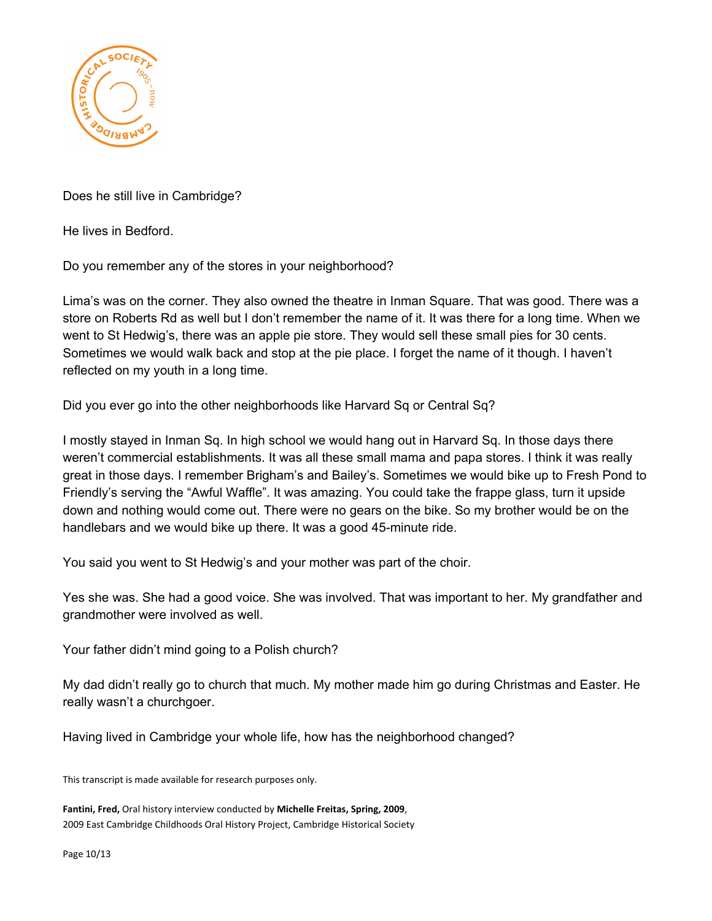

Does he still live in Cambridge?

He lives in Bedford.

Do you remember any of the stores in your neighborhood?

Lima's was on the corner. They also owned the theatre in Inman Square. That was good. There was a store on Roberts Rd as well but I don't remember the name of it. It was there for a long time. When we went to St Hedwig's, there was an apple pie store. They would sell these small pies for 30 cents. Sometimes we would walk back and stop at the pie place. I forget the name of it though. I haven't reflected on my youth in a long time.

Did you ever go into the other neighborhoods like Harvard Sq or Central Sq?

I mostly stayed in Inman Sq. In high school we would hang out in Harvard Sq. In those days there weren't commercial establishments. It was all these small mama and papa stores. I think it was really great in those days. I remember Brigham's and Bailey's. Sometimes we would bike up to Fresh Pond to Friendly's serving the "Awful Waffle". It was amazing. You could take the frappe glass, turn it upside down and nothing would come out. There were no gears on the bike. So my brother would be on the handlebars and we would bike up there. It was a good 45-minute ride.

You said you went to St Hedwig's and your mother was part of the choir.

Yes she was. She had a good voice. She was involved. That was important to her. My grandfather and grandmother were involved as well.

Your father didn't mind going to a Polish church?

My dad didn't really go to church that much. My mother made him go during Christmas and Easter. He really wasn't a churchgoer.

Having lived in Cambridge your whole life, how has the neighborhood changed?

This transcript is made available for research purposes only.

**Fantini, Fred,** Oral history interview conducted by **Michelle Freitas, Spring, 2009**, 2009 East Cambridge Childhoods Oral History Project, Cambridge Historical Society

Page 10/13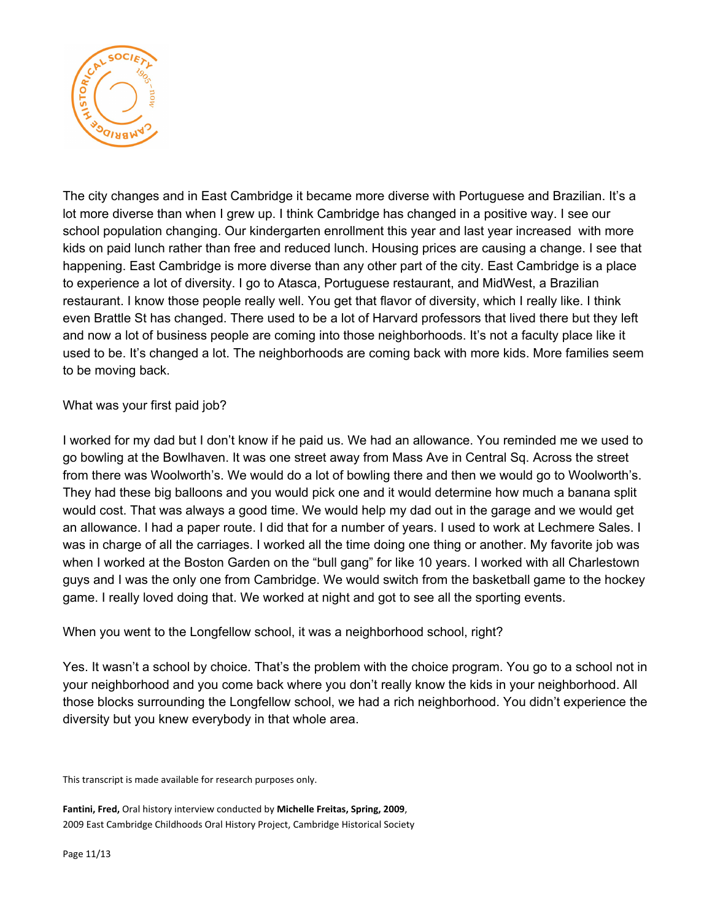

The city changes and in East Cambridge it became more diverse with Portuguese and Brazilian. It's a lot more diverse than when I grew up. I think Cambridge has changed in a positive way. I see our school population changing. Our kindergarten enrollment this year and last year increased with more kids on paid lunch rather than free and reduced lunch. Housing prices are causing a change. I see that happening. East Cambridge is more diverse than any other part of the city. East Cambridge is a place to experience a lot of diversity. I go to Atasca, Portuguese restaurant, and MidWest, a Brazilian restaurant. I know those people really well. You get that flavor of diversity, which I really like. I think even Brattle St has changed. There used to be a lot of Harvard professors that lived there but they left and now a lot of business people are coming into those neighborhoods. It's not a faculty place like it used to be. It's changed a lot. The neighborhoods are coming back with more kids. More families seem to be moving back.

What was your first paid job?

I worked for my dad but I don't know if he paid us. We had an allowance. You reminded me we used to go bowling at the Bowlhaven. It was one street away from Mass Ave in Central Sq. Across the street from there was Woolworth's. We would do a lot of bowling there and then we would go to Woolworth's. They had these big balloons and you would pick one and it would determine how much a banana split would cost. That was always a good time. We would help my dad out in the garage and we would get an allowance. I had a paper route. I did that for a number of years. I used to work at Lechmere Sales. I was in charge of all the carriages. I worked all the time doing one thing or another. My favorite job was when I worked at the Boston Garden on the "bull gang" for like 10 years. I worked with all Charlestown guys and I was the only one from Cambridge. We would switch from the basketball game to the hockey game. I really loved doing that. We worked at night and got to see all the sporting events.

When you went to the Longfellow school, it was a neighborhood school, right?

Yes. It wasn't a school by choice. That's the problem with the choice program. You go to a school not in your neighborhood and you come back where you don't really know the kids in your neighborhood. All those blocks surrounding the Longfellow school, we had a rich neighborhood. You didn't experience the diversity but you knew everybody in that whole area.

This transcript is made available for research purposes only.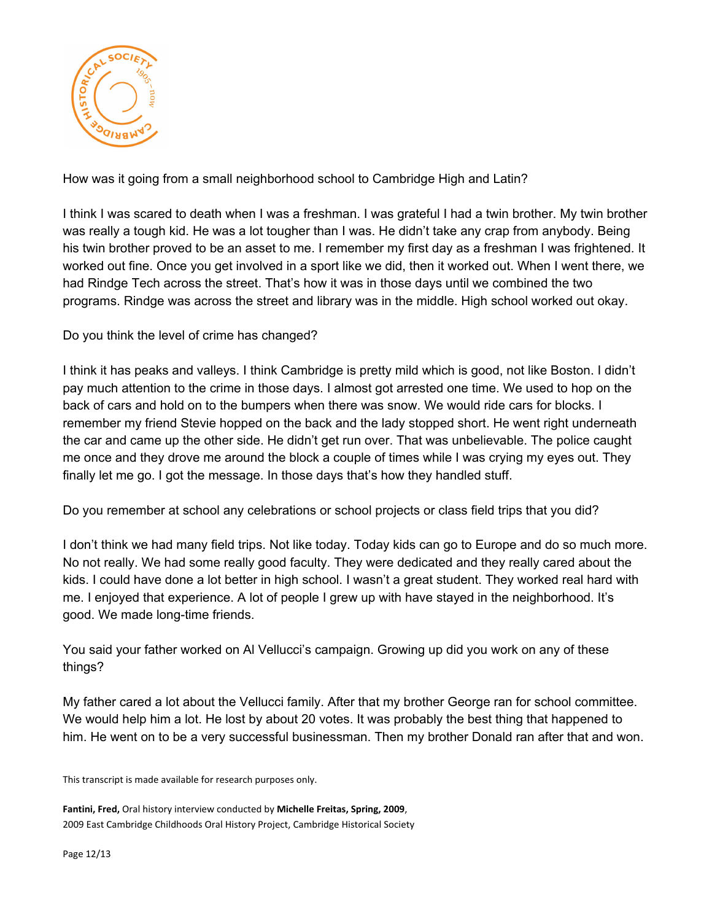

How was it going from a small neighborhood school to Cambridge High and Latin?

I think I was scared to death when I was a freshman. I was grateful I had a twin brother. My twin brother was really a tough kid. He was a lot tougher than I was. He didn't take any crap from anybody. Being his twin brother proved to be an asset to me. I remember my first day as a freshman I was frightened. It worked out fine. Once you get involved in a sport like we did, then it worked out. When I went there, we had Rindge Tech across the street. That's how it was in those days until we combined the two programs. Rindge was across the street and library was in the middle. High school worked out okay.

Do you think the level of crime has changed?

I think it has peaks and valleys. I think Cambridge is pretty mild which is good, not like Boston. I didn't pay much attention to the crime in those days. I almost got arrested one time. We used to hop on the back of cars and hold on to the bumpers when there was snow. We would ride cars for blocks. I remember my friend Stevie hopped on the back and the lady stopped short. He went right underneath the car and came up the other side. He didn't get run over. That was unbelievable. The police caught me once and they drove me around the block a couple of times while I was crying my eyes out. They finally let me go. I got the message. In those days that's how they handled stuff.

Do you remember at school any celebrations or school projects or class field trips that you did?

I don't think we had many field trips. Not like today. Today kids can go to Europe and do so much more. No not really. We had some really good faculty. They were dedicated and they really cared about the kids. I could have done a lot better in high school. I wasn't a great student. They worked real hard with me. I enjoyed that experience. A lot of people I grew up with have stayed in the neighborhood. It's good. We made long-time friends.

You said your father worked on Al Vellucci's campaign. Growing up did you work on any of these things?

My father cared a lot about the Vellucci family. After that my brother George ran for school committee. We would help him a lot. He lost by about 20 votes. It was probably the best thing that happened to him. He went on to be a very successful businessman. Then my brother Donald ran after that and won.

This transcript is made available for research purposes only.